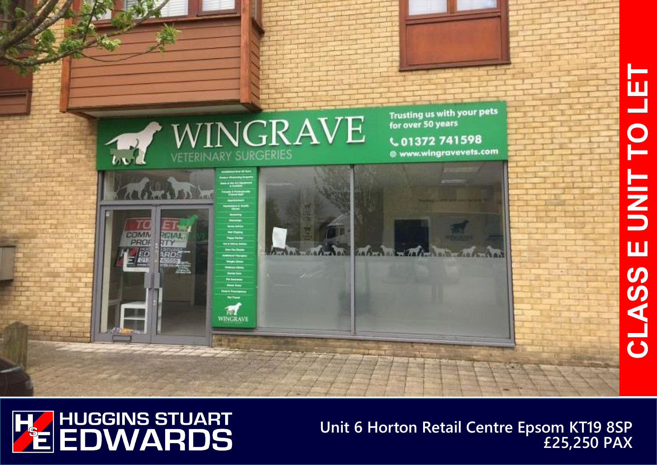



**Unit 6 Horton Retail Centre Epsom KT19 8SP £25,250 PAX**